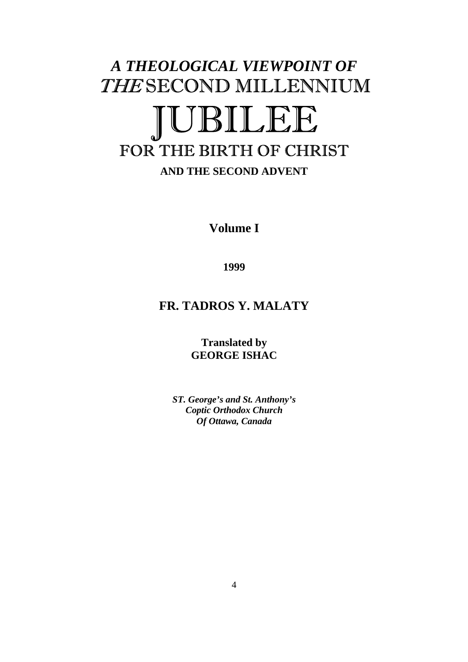# *A THEOLOGICAL VIEWPOINT OF*  THE SECOND MILLENNIUM **BILEE** FOR THE BIRTH OF CHRIST

### **AND THE SECOND ADVENT**

**Volume I** 

**1999** 

## **FR. TADROS Y. MALATY**

**Translated by GEORGE ISHAC**

*ST. George's and St. Anthony's Coptic Orthodox Church Of Ottawa, Canada*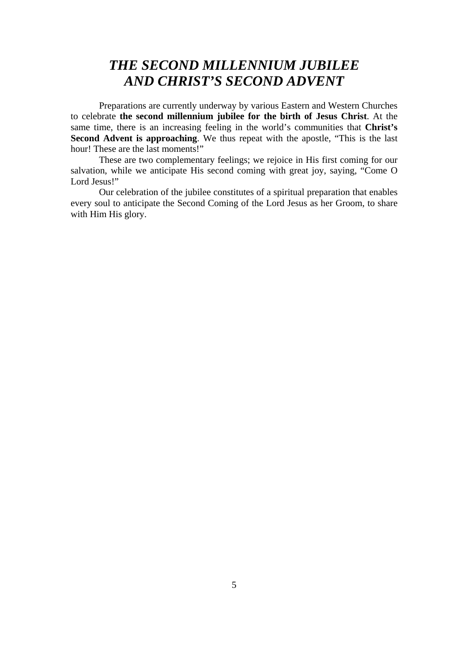## *THE SECOND MILLENNIUM JUBILEE AND CHRIST'S SECOND ADVENT*

Preparations are currently underway by various Eastern and Western Churches to celebrate **the second millennium jubilee for the birth of Jesus Christ**. At the same time, there is an increasing feeling in the world's communities that **Christ's Second Advent is approaching**. We thus repeat with the apostle, "This is the last hour! These are the last moments!"

These are two complementary feelings; we rejoice in His first coming for our salvation, while we anticipate His second coming with great joy, saying, "Come O Lord Jesus!"

Our celebration of the jubilee constitutes of a spiritual preparation that enables every soul to anticipate the Second Coming of the Lord Jesus as her Groom, to share with Him His glory.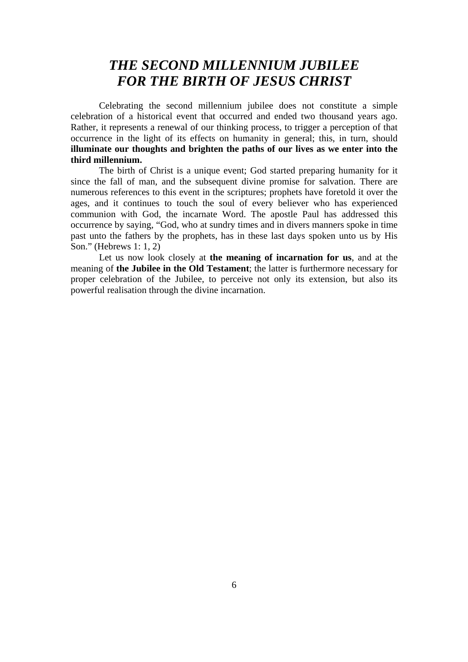## *THE SECOND MILLENNIUM JUBILEE FOR THE BIRTH OF JESUS CHRIST*

Celebrating the second millennium jubilee does not constitute a simple celebration of a historical event that occurred and ended two thousand years ago. Rather, it represents a renewal of our thinking process, to trigger a perception of that occurrence in the light of its effects on humanity in general; this, in turn, should **illuminate our thoughts and brighten the paths of our lives as we enter into the third millennium.** 

The birth of Christ is a unique event; God started preparing humanity for it since the fall of man, and the subsequent divine promise for salvation. There are numerous references to this event in the scriptures; prophets have foretold it over the ages, and it continues to touch the soul of every believer who has experienced communion with God, the incarnate Word. The apostle Paul has addressed this occurrence by saying, "God, who at sundry times and in divers manners spoke in time past unto the fathers by the prophets, has in these last days spoken unto us by His Son." (Hebrews 1: 1, 2)

Let us now look closely at **the meaning of incarnation for us**, and at the meaning of **the Jubilee in the Old Testament**; the latter is furthermore necessary for proper celebration of the Jubilee, to perceive not only its extension, but also its powerful realisation through the divine incarnation.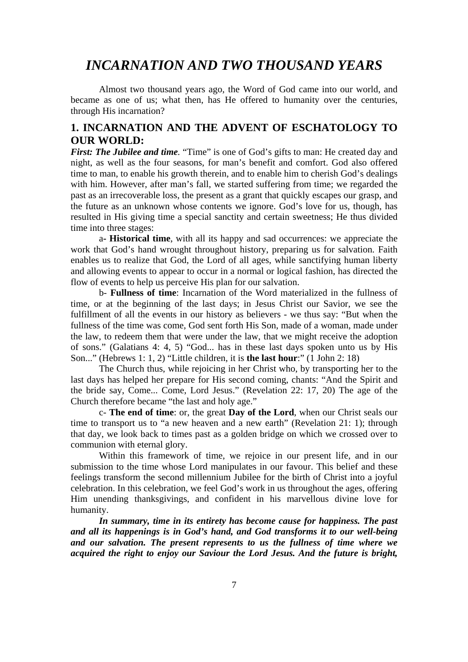## *INCARNATION AND TWO THOUSAND YEARS*

Almost two thousand years ago, the Word of God came into our world, and became as one of us; what then, has He offered to humanity over the centuries, through His incarnation?

#### **1. INCARNATION AND THE ADVENT OF ESCHATOLOGY TO OUR WORLD:**

*First: The Jubilee and time.* "Time" is one of God's gifts to man: He created day and night, as well as the four seasons, for man's benefit and comfort. God also offered time to man, to enable his growth therein, and to enable him to cherish God's dealings with him. However, after man's fall, we started suffering from time; we regarded the past as an irrecoverable loss, the present as a grant that quickly escapes our grasp, and the future as an unknown whose contents we ignore. God's love for us, though, has resulted in His giving time a special sanctity and certain sweetness; He thus divided time into three stages:

a**- Historical time**, with all its happy and sad occurrences: we appreciate the work that God's hand wrought throughout history, preparing us for salvation. Faith enables us to realize that God, the Lord of all ages, while sanctifying human liberty and allowing events to appear to occur in a normal or logical fashion, has directed the flow of events to help us perceive His plan for our salvation.

b- **Fullness of time**: Incarnation of the Word materialized in the fullness of time, or at the beginning of the last days; in Jesus Christ our Savior, we see the fulfillment of all the events in our history as believers - we thus say: "But when the fullness of the time was come, God sent forth His Son, made of a woman, made under the law, to redeem them that were under the law, that we might receive the adoption of sons." (Galatians 4: 4, 5) "God... has in these last days spoken unto us by His Son..." (Hebrews 1: 1, 2) "Little children, it is **the last hour**:" (1 John 2: 18)

The Church thus, while rejoicing in her Christ who, by transporting her to the last days has helped her prepare for His second coming, chants: "And the Spirit and the bride say, Come... Come, Lord Jesus." (Revelation 22: 17, 20) The age of the Church therefore became "the last and holy age."

c- **The end of time**: or, the great **Day of the Lord**, when our Christ seals our time to transport us to "a new heaven and a new earth" (Revelation 21: 1); through that day, we look back to times past as a golden bridge on which we crossed over to communion with eternal glory.

Within this framework of time, we rejoice in our present life, and in our submission to the time whose Lord manipulates in our favour. This belief and these feelings transform the second millennium Jubilee for the birth of Christ into a joyful celebration. In this celebration, we feel God's work in us throughout the ages, offering Him unending thanksgivings, and confident in his marvellous divine love for humanity.

*In summary, time in its entirety has become cause for happiness. The past and all its happenings is in God's hand, and God transforms it to our well-being and our salvation. The present represents to us the fullness of time where we acquired the right to enjoy our Saviour the Lord Jesus. And the future is bright,*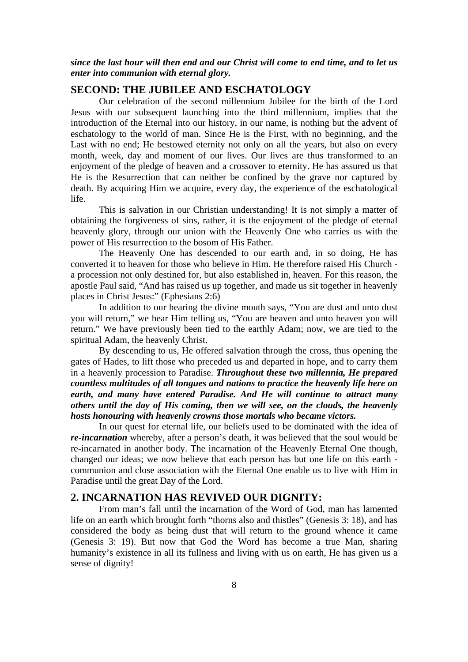*since the last hour will then end and our Christ will come to end time, and to let us enter into communion with eternal glory.* 

#### **SECOND: THE JUBILEE AND ESCHATOLOGY**

Our celebration of the second millennium Jubilee for the birth of the Lord Jesus with our subsequent launching into the third millennium, implies that the introduction of the Eternal into our history, in our name, is nothing but the advent of eschatology to the world of man. Since He is the First, with no beginning, and the Last with no end; He bestowed eternity not only on all the years, but also on every month, week, day and moment of our lives. Our lives are thus transformed to an enjoyment of the pledge of heaven and a crossover to eternity. He has assured us that He is the Resurrection that can neither be confined by the grave nor captured by death. By acquiring Him we acquire, every day, the experience of the eschatological life.

This is salvation in our Christian understanding! It is not simply a matter of obtaining the forgiveness of sins, rather, it is the enjoyment of the pledge of eternal heavenly glory, through our union with the Heavenly One who carries us with the power of His resurrection to the bosom of His Father.

The Heavenly One has descended to our earth and, in so doing, He has converted it to heaven for those who believe in Him. He therefore raised His Church a procession not only destined for, but also established in, heaven. For this reason, the apostle Paul said, "And has raised us up together, and made us sit together in heavenly places in Christ Jesus:" (Ephesians 2:6)

In addition to our hearing the divine mouth says, "You are dust and unto dust you will return," we hear Him telling us, "You are heaven and unto heaven you will return." We have previously been tied to the earthly Adam; now, we are tied to the spiritual Adam, the heavenly Christ.

By descending to us, He offered salvation through the cross, thus opening the gates of Hades, to lift those who preceded us and departed in hope, and to carry them in a heavenly procession to Paradise. *Throughout these two millennia, He prepared countless multitudes of all tongues and nations to practice the heavenly life here on earth, and many have entered Paradise. And He will continue to attract many others until the day of His coming, then we will see, on the clouds, the heavenly hosts honouring with heavenly crowns those mortals who became victors.* 

In our quest for eternal life, our beliefs used to be dominated with the idea of *re-incarnation* whereby, after a person's death, it was believed that the soul would be re-incarnated in another body. The incarnation of the Heavenly Eternal One though, changed our ideas; we now believe that each person has but one life on this earth communion and close association with the Eternal One enable us to live with Him in Paradise until the great Day of the Lord.

#### **2. INCARNATION HAS REVIVED OUR DIGNITY:**

From man's fall until the incarnation of the Word of God, man has lamented life on an earth which brought forth "thorns also and thistles" (Genesis 3: 18), and has considered the body as being dust that will return to the ground whence it came (Genesis 3: 19). But now that God the Word has become a true Man, sharing humanity's existence in all its fullness and living with us on earth, He has given us a sense of dignity!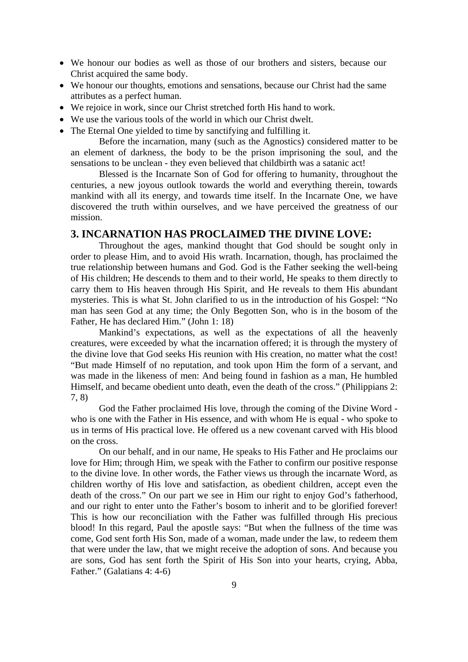- We honour our bodies as well as those of our brothers and sisters, because our Christ acquired the same body.
- We honour our thoughts, emotions and sensations, because our Christ had the same attributes as a perfect human.
- We rejoice in work, since our Christ stretched forth His hand to work.
- We use the various tools of the world in which our Christ dwelt.
- The Eternal One yielded to time by sanctifying and fulfilling it.

Before the incarnation, many (such as the Agnostics) considered matter to be an element of darkness, the body to be the prison imprisoning the soul, and the sensations to be unclean - they even believed that childbirth was a satanic act!

Blessed is the Incarnate Son of God for offering to humanity, throughout the centuries, a new joyous outlook towards the world and everything therein, towards mankind with all its energy, and towards time itself. In the Incarnate One, we have discovered the truth within ourselves, and we have perceived the greatness of our mission.

#### **3. INCARNATION HAS PROCLAIMED THE DIVINE LOVE:**

Throughout the ages, mankind thought that God should be sought only in order to please Him, and to avoid His wrath. Incarnation, though, has proclaimed the true relationship between humans and God. God is the Father seeking the well-being of His children; He descends to them and to their world, He speaks to them directly to carry them to His heaven through His Spirit, and He reveals to them His abundant mysteries. This is what St. John clarified to us in the introduction of his Gospel: "No man has seen God at any time; the Only Begotten Son, who is in the bosom of the Father, He has declared Him." (John 1: 18)

Mankind's expectations, as well as the expectations of all the heavenly creatures, were exceeded by what the incarnation offered; it is through the mystery of the divine love that God seeks His reunion with His creation, no matter what the cost! "But made Himself of no reputation, and took upon Him the form of a servant, and was made in the likeness of men: And being found in fashion as a man, He humbled Himself, and became obedient unto death, even the death of the cross." (Philippians 2: 7, 8)

God the Father proclaimed His love, through the coming of the Divine Word who is one with the Father in His essence, and with whom He is equal - who spoke to us in terms of His practical love. He offered us a new covenant carved with His blood on the cross.

On our behalf, and in our name, He speaks to His Father and He proclaims our love for Him; through Him, we speak with the Father to confirm our positive response to the divine love. In other words, the Father views us through the incarnate Word, as children worthy of His love and satisfaction, as obedient children, accept even the death of the cross." On our part we see in Him our right to enjoy God's fatherhood, and our right to enter unto the Father's bosom to inherit and to be glorified forever! This is how our reconciliation with the Father was fulfilled through His precious blood! In this regard, Paul the apostle says: "But when the fullness of the time was come, God sent forth His Son, made of a woman, made under the law, to redeem them that were under the law, that we might receive the adoption of sons. And because you are sons, God has sent forth the Spirit of His Son into your hearts, crying, Abba, Father." (Galatians 4: 4-6)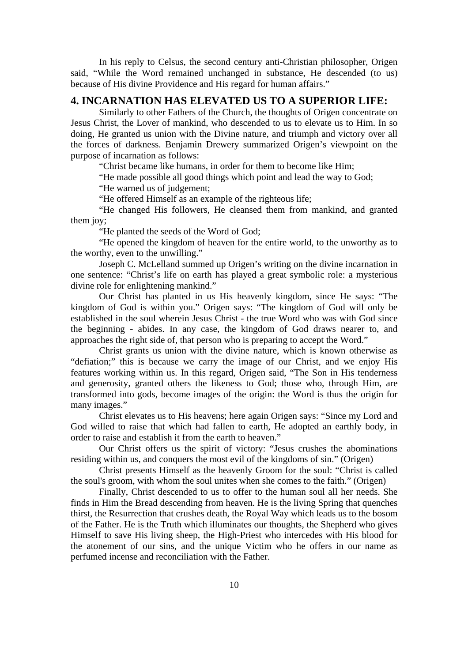In his reply to Celsus, the second century anti-Christian philosopher, Origen said, "While the Word remained unchanged in substance, He descended (to us) because of His divine Providence and His regard for human affairs."

#### **4. INCARNATION HAS ELEVATED US TO A SUPERIOR LIFE:**

Similarly to other Fathers of the Church, the thoughts of Origen concentrate on Jesus Christ, the Lover of mankind, who descended to us to elevate us to Him. In so doing, He granted us union with the Divine nature, and triumph and victory over all the forces of darkness. Benjamin Drewery summarized Origen's viewpoint on the purpose of incarnation as follows:

"Christ became like humans, in order for them to become like Him;

"He made possible all good things which point and lead the way to God;

"He warned us of judgement;

"He offered Himself as an example of the righteous life;

"He changed His followers, He cleansed them from mankind, and granted them joy;

"He planted the seeds of the Word of God;

"He opened the kingdom of heaven for the entire world, to the unworthy as to the worthy, even to the unwilling."

Joseph C. McLelland summed up Origen's writing on the divine incarnation in one sentence: "Christ's life on earth has played a great symbolic role: a mysterious divine role for enlightening mankind."

Our Christ has planted in us His heavenly kingdom, since He says: "The kingdom of God is within you." Origen says: "The kingdom of God will only be established in the soul wherein Jesus Christ - the true Word who was with God since the beginning - abides. In any case, the kingdom of God draws nearer to, and approaches the right side of, that person who is preparing to accept the Word."

Christ grants us union with the divine nature, which is known otherwise as "defiation;" this is because we carry the image of our Christ, and we enjoy His features working within us. In this regard, Origen said, "The Son in His tenderness and generosity, granted others the likeness to God; those who, through Him, are transformed into gods, become images of the origin: the Word is thus the origin for many images."

Christ elevates us to His heavens; here again Origen says: "Since my Lord and God willed to raise that which had fallen to earth, He adopted an earthly body, in order to raise and establish it from the earth to heaven."

Our Christ offers us the spirit of victory: "Jesus crushes the abominations residing within us, and conquers the most evil of the kingdoms of sin." (Origen)

Christ presents Himself as the heavenly Groom for the soul: "Christ is called the soul's groom, with whom the soul unites when she comes to the faith." (Origen)

Finally, Christ descended to us to offer to the human soul all her needs. She finds in Him the Bread descending from heaven. He is the living Spring that quenches thirst, the Resurrection that crushes death, the Royal Way which leads us to the bosom of the Father. He is the Truth which illuminates our thoughts, the Shepherd who gives Himself to save His living sheep, the High-Priest who intercedes with His blood for the atonement of our sins, and the unique Victim who he offers in our name as perfumed incense and reconciliation with the Father.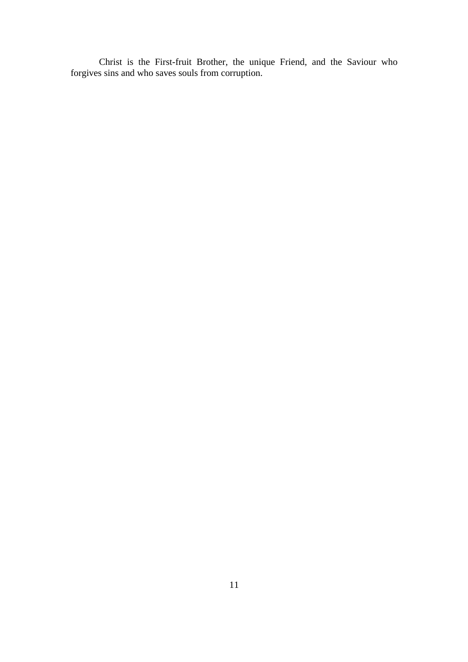Christ is the First-fruit Brother, the unique Friend, and the Saviour who forgives sins and who saves souls from corruption.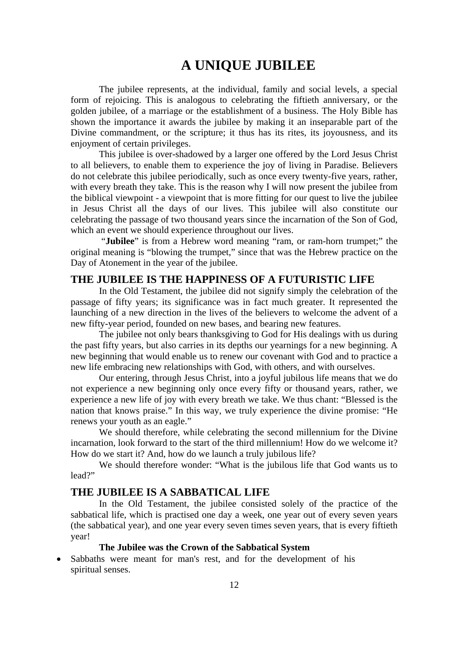## **A UNIQUE JUBILEE**

The jubilee represents, at the individual, family and social levels, a special form of rejoicing. This is analogous to celebrating the fiftieth anniversary, or the golden jubilee, of a marriage or the establishment of a business. The Holy Bible has shown the importance it awards the jubilee by making it an inseparable part of the Divine commandment, or the scripture; it thus has its rites, its joyousness, and its enjoyment of certain privileges.

This jubilee is over-shadowed by a larger one offered by the Lord Jesus Christ to all believers, to enable them to experience the joy of living in Paradise. Believers do not celebrate this jubilee periodically, such as once every twenty-five years, rather, with every breath they take. This is the reason why I will now present the jubilee from the biblical viewpoint - a viewpoint that is more fitting for our quest to live the jubilee in Jesus Christ all the days of our lives. This jubilee will also constitute our celebrating the passage of two thousand years since the incarnation of the Son of God, which an event we should experience throughout our lives.

 "**Jubilee**" is from a Hebrew word meaning "ram, or ram-horn trumpet;" the original meaning is "blowing the trumpet," since that was the Hebrew practice on the Day of Atonement in the year of the jubilee.

#### **THE JUBILEE IS THE HAPPINESS OF A FUTURISTIC LIFE**

In the Old Testament, the jubilee did not signify simply the celebration of the passage of fifty years; its significance was in fact much greater. It represented the launching of a new direction in the lives of the believers to welcome the advent of a new fifty-year period, founded on new bases, and bearing new features.

The jubilee not only bears thanksgiving to God for His dealings with us during the past fifty years, but also carries in its depths our yearnings for a new beginning. A new beginning that would enable us to renew our covenant with God and to practice a new life embracing new relationships with God, with others, and with ourselves.

Our entering, through Jesus Christ, into a joyful jubilous life means that we do not experience a new beginning only once every fifty or thousand years, rather, we experience a new life of joy with every breath we take. We thus chant: "Blessed is the nation that knows praise." In this way, we truly experience the divine promise: "He renews your youth as an eagle."

We should therefore, while celebrating the second millennium for the Divine incarnation, look forward to the start of the third millennium! How do we welcome it? How do we start it? And, how do we launch a truly jubilous life?

We should therefore wonder: "What is the jubilous life that God wants us to lead?"

#### **THE JUBILEE IS A SABBATICAL LIFE**

In the Old Testament, the jubilee consisted solely of the practice of the sabbatical life, which is practised one day a week, one year out of every seven years (the sabbatical year), and one year every seven times seven years, that is every fiftieth year!

#### **The Jubilee was the Crown of the Sabbatical System**

Sabbaths were meant for man's rest, and for the development of his spiritual senses.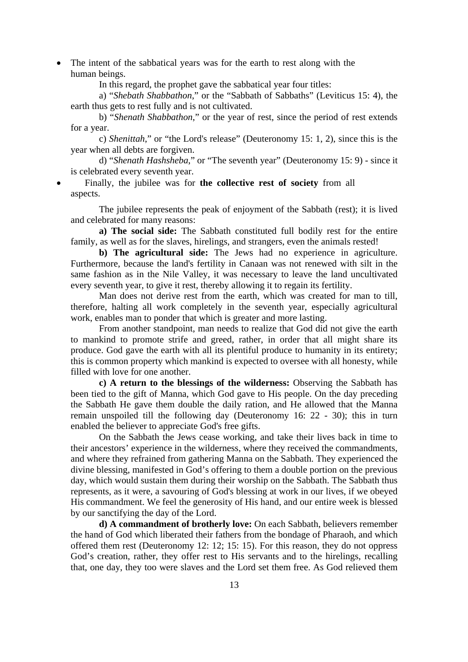• The intent of the sabbatical years was for the earth to rest along with the human beings.

In this regard, the prophet gave the sabbatical year four titles:

a) "*Shebath Shabbathon*," or the "Sabbath of Sabbaths" (Leviticus 15: 4), the earth thus gets to rest fully and is not cultivated.

b) "*Shenath Shabbathon*," or the year of rest, since the period of rest extends for a year.

c) *Shenittah*," or "the Lord's release" (Deuteronomy 15: 1, 2), since this is the year when all debts are forgiven.

d) "*Shenath Hashsheba*," or "The seventh year" (Deuteronomy 15: 9) - since it is celebrated every seventh year.

• Finally, the jubilee was for **the collective rest of society** from all aspects.

The jubilee represents the peak of enjoyment of the Sabbath (rest); it is lived and celebrated for many reasons:

**a) The social side:** The Sabbath constituted full bodily rest for the entire family, as well as for the slaves, hirelings, and strangers, even the animals rested!

**b) The agricultural side:** The Jews had no experience in agriculture. Furthermore, because the land's fertility in Canaan was not renewed with silt in the same fashion as in the Nile Valley, it was necessary to leave the land uncultivated every seventh year, to give it rest, thereby allowing it to regain its fertility.

Man does not derive rest from the earth, which was created for man to till, therefore, halting all work completely in the seventh year, especially agricultural work, enables man to ponder that which is greater and more lasting.

From another standpoint, man needs to realize that God did not give the earth to mankind to promote strife and greed, rather, in order that all might share its produce. God gave the earth with all its plentiful produce to humanity in its entirety; this is common property which mankind is expected to oversee with all honesty, while filled with love for one another.

**c) A return to the blessings of the wilderness:** Observing the Sabbath has been tied to the gift of Manna, which God gave to His people. On the day preceding the Sabbath He gave them double the daily ration, and He allowed that the Manna remain unspoiled till the following day (Deuteronomy 16: 22 - 30); this in turn enabled the believer to appreciate God's free gifts.

On the Sabbath the Jews cease working, and take their lives back in time to their ancestors' experience in the wilderness, where they received the commandments, and where they refrained from gathering Manna on the Sabbath. They experienced the divine blessing, manifested in God's offering to them a double portion on the previous day, which would sustain them during their worship on the Sabbath . The Sabbath thus represents, as it were, a savouring of God's blessing at work in our lives, if we obeyed His commandment. We feel the generosity of His hand, and our entire week is blessed by our sanctifying the day of the Lord.

**d) A commandment of brotherly love:** On each Sabbath, believers remember the hand of God which liberated their fathers from the bondage of Pharaoh, and which offered them rest (Deuteronomy 12: 12; 15: 15). For this reason, they do not oppress God's creation, rather, they offer rest to His servants and to the hirelings, recalling that, one day, they too were slaves and the Lord set them free. As God relieved them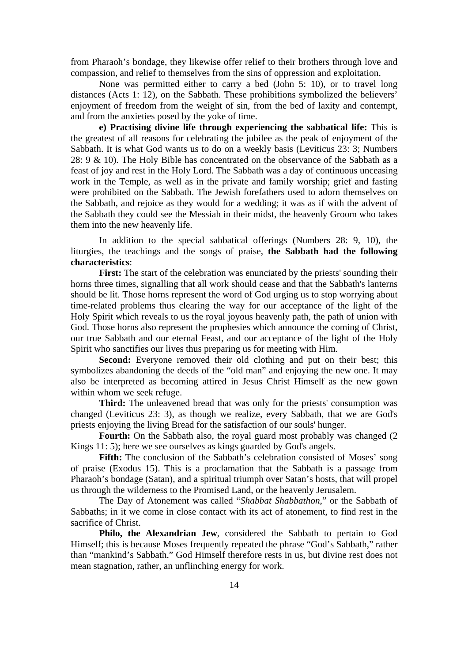from Pharaoh's bondage, they likewise offer relief to their brothers through love and compassion, and relief to themselves from the sins of oppression and exploitation.

None was permitted either to carry a bed (John 5: 10), or to travel long distances (Acts 1: 12), on the Sabbath. These prohibitions symbolized the believers' enjoyment of freedom from the weight of sin, from the bed of laxity and contempt, and from the anxieties posed by the yoke of time.

**e) Practising divine life through experiencing the sabbatical life:** This is the greatest of all reasons for celebrating the jubilee as the peak of enjoyment of the Sabbath. It is what God wants us to do on a weekly basis (Leviticus 23: 3; Numbers 28: 9 & 10). The Holy Bible has concentrated on the observance of the Sabbath as a feast of joy and rest in the Holy Lord. The Sabbath was a day of continuous unceasing work in the Temple, as well as in the private and family worship; grief and fasting were prohibited on the Sabbath. The Jewish forefathers used to adorn themselves on the Sabbath, and rejoice as they would for a wedding; it was as if with the advent of the Sabbath they could see the Messiah in their midst, the heavenly Groom who takes them into the new heavenly life.

In addition to the special sabbatical offerings (Numbers 28: 9, 10), the liturgies, the teachings and the songs of praise, **the Sabbath had the following characteristics**:

**First:** The start of the celebration was enunciated by the priests' sounding their horns three times, signalling that all work should cease and that the Sabbath's lanterns should be lit. Those horns represent the word of God urging us to stop worrying about time-related problems thus clearing the way for our acceptance of the light of the Holy Spirit which reveals to us the royal joyous heavenly path, the path of union with God. Those horns also represent the prophesies which announce the coming of Christ, our true Sabbath and our eternal Feast, and our acceptance of the light of the Holy Spirit who sanctifies our lives thus preparing us for meeting with Him.

**Second:** Everyone removed their old clothing and put on their best; this symbolizes abandoning the deeds of the "old man" and enjoying the new one. It may also be interpreted as becoming attired in Jesus Christ Himself as the new gown within whom we seek refuge.

**Third:** The unleavened bread that was only for the priests' consumption was changed (Leviticus 23: 3), as though we realize, every Sabbath, that we are God's priests enjoying the living Bread for the satisfaction of our souls' hunger.

Fourth: On the Sabbath also, the royal guard most probably was changed (2) Kings 11: 5); here we see ourselves as kings guarded by God's angels.

Fifth: The conclusion of the Sabbath's celebration consisted of Moses' song of praise (Exodus 15). This is a proclamation that the Sabbath is a passage from Pharaoh's bondage (Satan), and a spiritual triumph over Satan's hosts, that will propel us through the wilderness to the Promised Land, or the heavenly Jerusalem.

The Day of Atonement was called "*Shabbat Shabbathon*," or the Sabbath of Sabbaths; in it we come in close contact with its act of atonement, to find rest in the sacrifice of Christ.

**Philo, the Alexandrian Jew**, considered the Sabbath to pertain to God Himself; this is because Moses frequently repeated the phrase "God's Sabbath," rather than "mankind's Sabbath ." God Himself therefore rests in us, but divine rest does not mean stagnation, rather, an unflinching energy for work.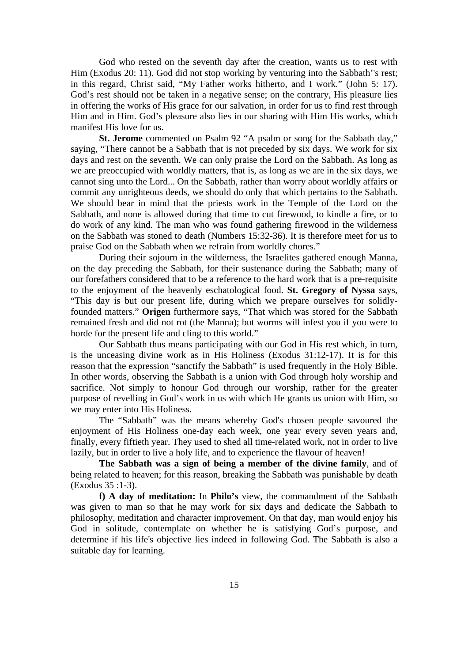God who rested on the seventh day after the creation, wants us to rest with Him (Exodus 20: 11). God did not stop working by venturing into the Sabbath''s rest; in this regard, Christ said, "My Father works hitherto, and I work." (John 5: 17). God's rest should not be taken in a negative sense; on the contrary, His pleasure lies in offering the works of His grace for our salvation, in order for us to find rest through Him and in Him. God's pleasure also lies in our sharing with Him His works, which manifest His love for us.

**St. Jerome** commented on Psalm 92 "A psalm or song for the Sabbath day," saying, "There cannot be a Sabbath that is not preceded by six days. We work for six days and rest on the seventh. We can only praise the Lord on the Sabbath. As long as we are preoccupied with worldly matters, that is, as long as we are in the six days, we cannot sing unto the Lord... On the Sabbath, rather than worry about worldly affairs or commit any unrighteous deeds, we should do only that which pertains to the Sabbath. We should bear in mind that the priests work in the Temple of the Lord on the Sabbath, and none is allowed during that time to cut firewood, to kindle a fire, or to do work of any kind. The man who was found gathering firewood in the wilderness on the Sabbath was stoned to death (Numbers 15:32-36). It is therefore meet for us to praise God on the Sabbath when we refrain from worldly chores."

During their sojourn in the wilderness, the Israelites gathered enough Manna, on the day preceding the Sabbath, for their sustenance during the Sabbath; many of our forefathers considered that to be a reference to the hard work that is a pre-requisite to the enjoyment of the heavenly eschatological food. **St. Gregory of Nyssa** says, "This day is but our present life, during which we prepare ourselves for solidlyfounded matters." **Origen** furthermore says, "That which was stored for the Sabbath remained fresh and did not rot (the Manna); but worms will infest you if you were to horde for the present life and cling to this world."

Our Sabbath thus means participating with our God in His rest which, in turn, is the unceasing divine work as in His Holiness (Exodus 31:12-17). It is for this reason that the expression "sanctify the Sabbath" is used frequently in the Holy Bible. In other words, observing the Sabbath is a union with God through holy worship and sacrifice. Not simply to honour God through our worship, rather for the greater purpose of revelling in God's work in us with which He grants us union with Him, so we may enter into His Holiness.

The "Sabbath" was the means whereby God's chosen people savoured the enjoyment of His Holiness one-day each week, one year every seven years and, finally, every fiftieth year. They used to shed all time-related work, not in order to live lazily, but in order to live a holy life, and to experience the flavour of heaven!

**The Sabbath was a sign of being a member of the divine family**, and of being related to heaven; for this reason, breaking the Sabbath was punishable by death (Exodus 35 :1-3).

**f) A day of meditation:** In **Philo's** view, the commandment of the Sabbath was given to man so that he may work for six days and dedicate the Sabbath to philosophy, meditation and character improvement. On that day, man would enjoy his God in solitude, contemplate on whether he is satisfying God's purpose, and determine if his life's objective lies indeed in following God. The Sabbath is also a suitable day for learning.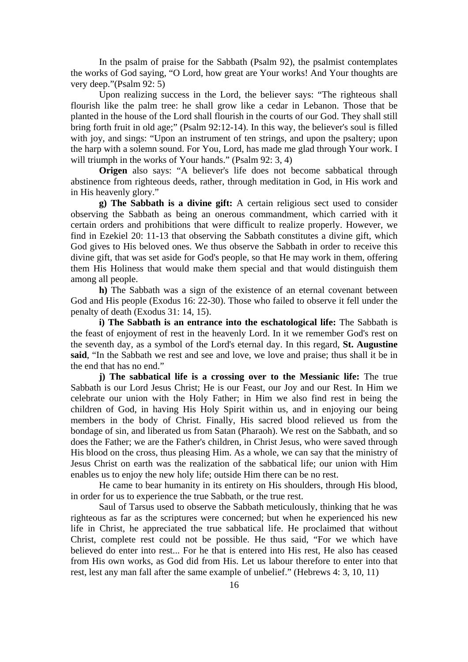In the psalm of praise for the Sabbath (Psalm 92), the psalmist contemplates the works of God saying, "O Lord, how great are Your works! And Your thoughts are very deep."(Psalm 92: 5)

Upon realizing success in the Lord, the believer says: "The righteous shall flourish like the palm tree: he shall grow like a cedar in Lebanon. Those that be planted in the house of the Lord shall flourish in the courts of our God. They shall still bring forth fruit in old age;" (Psalm 92:12-14). In this way, the believer's soul is filled with joy, and sings: "Upon an instrument of ten strings, and upon the psaltery; upon the harp with a solemn sound. For You, Lord, has made me glad through Your work. I will triumph in the works of Your hands." (Psalm 92: 3, 4)

**Origen** also says: "A believer's life does not become sabbatical through abstinence from righteous deeds, rather, through meditation in God, in His work and in His heavenly glory."

**g) The Sabbath is a divine gift:** A certain religious sect used to consider observing the Sabbath as being an onerous commandment, which carried with it certain orders and prohibitions that were difficult to realize properly. However, we find in Ezekiel 20: 11-13 that observing the Sabbath constitutes a divine gift, which God gives to His beloved ones. We thus observe the Sabbath in order to receive this divine gift, that was set aside for God's people, so that He may work in them, offering them His Holiness that would make them special and that would distinguish them among all people.

**h)** The Sabbath was a sign of the existence of an eternal covenant between God and His people (Exodus 16: 22-30). Those who failed to observe it fell under the penalty of death (Exodus 31: 14, 15).

**i) The Sabbath is an entrance into the eschatological life:** The Sabbath is the feast of enjoyment of rest in the heavenly Lord. In it we remember God's rest on the seventh day, as a symbol of the Lord's eternal day. In this regard, **St. Augustine said**, "In the Sabbath we rest and see and love, we love and praise; thus shall it be in the end that has no end."

**j) The sabbatical life is a crossing over to the Messianic life:** The true Sabbath is our Lord Jesus Christ; He is our Feast, our Joy and our Rest. In Him we celebrate our union with the Holy Father; in Him we also find rest in being the children of God, in having His Holy Spirit within us, and in enjoying our being members in the body of Christ. Finally, His sacred blood relieved us from the bondage of sin, and liberated us from Satan (Pharaoh). We rest on the Sabbath, and so does the Father; we are the Father's children, in Christ Jesus, who were saved through His blood on the cross, thus pleasing Him. As a whole, we can say that the ministry of Jesus Christ on earth was the realization of the sabbatical life; our union with Him enables us to enjoy the new holy life; outside Him there can be no rest.

He came to bear humanity in its entirety on His shoulders, through His blood, in order for us to experience the true Sabbath, or the true rest.

Saul of Tarsus used to observe the Sabbath meticulously, thinking that he was righteous as far as the scriptures were concerned; but when he experienced his new life in Christ, he appreciated the true sabbatical life. He proclaimed that without Christ, complete rest could not be possible. He thus said, "For we which have believed do enter into rest... For he that is entered into His rest, He also has ceased from His own works, as God did from His. Let us labour therefore to enter into that rest, lest any man fall after the same example of unbelief." (Hebrews 4: 3, 10, 11)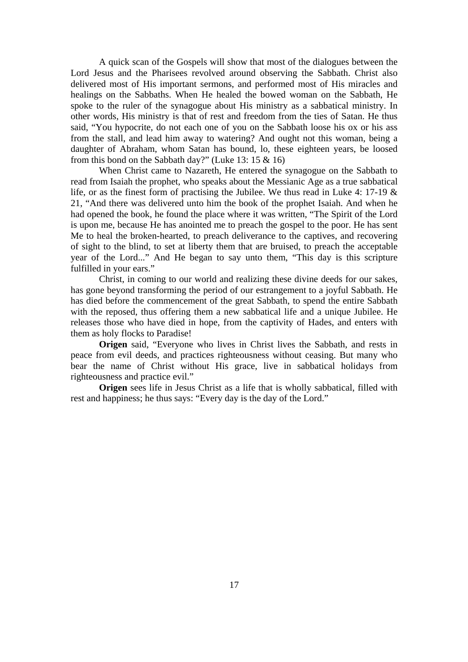A quick scan of the Gospels will show that most of the dialogues between the Lord Jesus and the Pharisees revolved around observing the Sabbath. Christ also delivered most of His important sermons, and performed most of His miracles and healings on the Sabbaths. When He healed the bowed woman on the Sabbath, He spoke to the ruler of the synagogue about His ministry as a sabbatical ministry. In other words, His ministry is that of rest and freedom from the ties of Satan. He thus said, "You hypocrite, do not each one of you on the Sabbath loose his ox or his ass from the stall, and lead him away to watering? And ought not this woman, being a daughter of Abraham, whom Satan has bound, lo, these eighteen years, be loosed from this bond on the Sabbath day?" (Luke 13:  $15 \& 16$ )

When Christ came to Nazareth, He entered the synagogue on the Sabbath to read from Isaiah the prophet, who speaks about the Messianic Age as a true sabbatical life, or as the finest form of practising the Jubilee. We thus read in Luke 4: 17-19 & 21, "And there was delivered unto him the book of the prophet Isaiah. And when he had opened the book, he found the place where it was written, "The Spirit of the Lord is upon me, because He has anointed me to preach the gospel to the poor. He has sent Me to heal the broken-hearted, to preach deliverance to the captives, and recovering of sight to the blind, to set at liberty them that are bruised, to preach the acceptable year of the Lord..." And He began to say unto them, "This day is this scripture fulfilled in your ears."

Christ, in coming to our world and realizing these divine deeds for our sakes, has gone beyond transforming the period of our estrangement to a joyful Sabbath. He has died before the commencement of the great Sabbath , to spend the entire Sabbath with the reposed, thus offering them a new sabbatical life and a unique Jubilee. He releases those who have died in hope, from the captivity of Hades, and enters with them as holy flocks to Paradise!

Origen said, "Everyone who lives in Christ lives the Sabbath, and rests in peace from evil deeds, and practices righteousness without ceasing. But many who bear the name of Christ without His grace, live in sabbatical holidays from righteousness and practice evil."

**Origen** sees life in Jesus Christ as a life that is wholly sabbatical, filled with rest and happiness; he thus says: "Every day is the day of the Lord."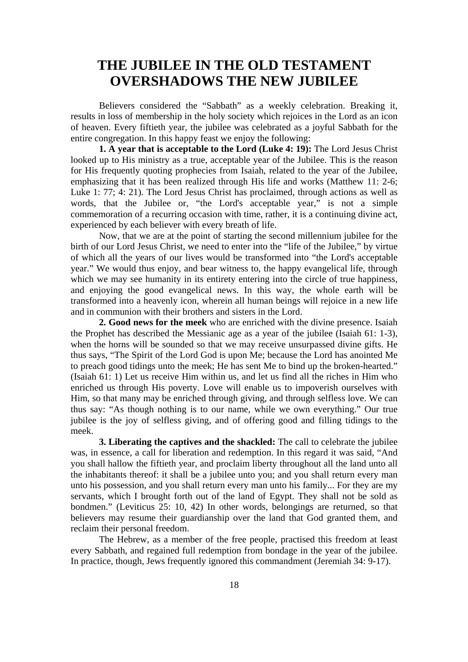## **THE JUBILEE IN THE OLD TESTAMENT OVERSHADOWS THE NEW JUBILEE**

Believers considered the "Sabbath" as a weekly celebration. Breaking it, results in loss of membership in the holy society which rejoices in the Lord as an icon of heaven. Every fiftieth year, the jubilee was celebrated as a joyful Sabbath for the entire congregation. In this happy feast we enjoy the following:

**1. A year that is acceptable to the Lord (Luke 4: 19):** The Lord Jesus Christ looked up to His ministry as a true, acceptable year of the Jubilee. This is the reason for His frequently quoting prophecies from Isaiah, related to the year of the Jubilee, emphasizing that it has been realized through His life and works (Matthew 11: 2-6; Luke 1: 77; 4: 21). The Lord Jesus Christ has proclaimed, through actions as well as words, that the Jubilee or, "the Lord's acceptable year," is not a simple commemoration of a recurring occasion with time, rather, it is a continuing divine act, experienced by each believer with every breath of life.

Now, that we are at the point of starting the second millennium jubilee for the birth of our Lord Jesus Christ, we need to enter into the "life of the Jubilee," by virtue of which all the years of our lives would be transformed into "the Lord's acceptable year." We would thus enjoy, and bear witness to, the happy evangelical life, through which we may see humanity in its entirety entering into the circle of true happiness, and enjoying the good evangelical news. In this way, the whole earth will be transformed into a heavenly icon, wherein all human beings will rejoice in a new life and in communion with their brothers and sisters in the Lord.

**2. Good news for the meek** who are enriched with the divine presence. Isaiah the Prophet has described the Messianic age as a year of the jubilee (Isaiah 61: 1-3), when the horns will be sounded so that we may receive unsurpassed divine gifts. He thus says, "The Spirit of the Lord God is upon Me; because the Lord has anointed Me to preach good tidings unto the meek; He has sent Me to bind up the broken-hearted." (Isaiah 61: 1) Let us receive Him within us, and let us find all the riches in Him who enriched us through His poverty. Love will enable us to impoverish ourselves with Him, so that many may be enriched through giving, and through selfless love. We can thus say: "As though nothing is to our name, while we own everything." Our true jubilee is the joy of selfless giving, and of offering good and filling tidings to the meek.

**3. Liberating the captives and the shackled:** The call to celebrate the jubilee was, in essence, a call for liberation and redemption. In this regard it was said, "And you shall hallow the fiftieth year, and proclaim liberty throughout all the land unto all the inhabitants thereof: it shall be a jubilee unto you; and you shall return every man unto his possession, and you shall return every man unto his family... For they are my servants, which I brought forth out of the land of Egypt. They shall not be sold as bondmen." (Leviticus 25: 10, 42) In other words, belongings are returned, so that believers may resume their guardianship over the land that God granted them, and reclaim their personal freedom.

The Hebrew, as a member of the free people, practised this freedom at least every Sabbath, and regained full redemption from bondage in the year of the jubilee. In practice, though, Jews frequently ignored this commandment (Jeremiah 34: 9-17).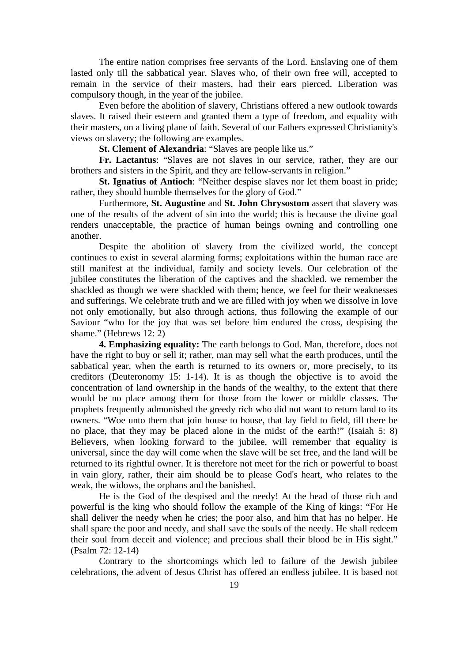The entire nation comprises free servants of the Lord. Enslaving one of them lasted only till the sabbatical year. Slaves who, of their own free will, accepted to remain in the service of their masters, had their ears pierced. Liberation was compulsory though, in the year of the jubilee.

Even before the abolition of slavery, Christians offered a new outlook towards slaves. It raised their esteem and granted them a type of freedom, and equality with their masters, on a living plane of faith. Several of our Fathers expressed Christianity's views on slavery; the following are examples.

**St. Clement of Alexandria**: "Slaves are people like us."

**Fr. Lactantus**: "Slaves are not slaves in our service, rather, they are our brothers and sisters in the Spirit, and they are fellow-servants in religion."

**St. Ignatius of Antioch**: "Neither despise slaves nor let them boast in pride; rather, they should humble themselves for the glory of God."

Furthermore, **St. Augustine** and **St. John Chrysostom** assert that slavery was one of the results of the advent of sin into the world; this is because the divine goal renders unacceptable, the practice of human beings owning and controlling one another.

Despite the abolition of slavery from the civilized world, the concept continues to exist in several alarming forms; exploitations within the human race are still manifest at the individual, family and society levels. Our celebration of the jubilee constitutes the liberation of the captives and the shackled. we remember the shackled as though we were shackled with them; hence, we feel for their weaknesses and sufferings. We celebrate truth and we are filled with joy when we dissolve in love not only emotionally, but also through actions, thus following the example of our Saviour "who for the joy that was set before him endured the cross, despising the shame." (Hebrews 12: 2)

**4. Emphasizing equality:** The earth belongs to God. Man, therefore, does not have the right to buy or sell it; rather, man may sell what the earth produces, until the sabbatical year, when the earth is returned to its owners or, more precisely, to its creditors (Deuteronomy 15: 1-14). It is as though the objective is to avoid the concentration of land ownership in the hands of the wealthy, to the extent that there would be no place among them for those from the lower or middle classes. The prophets frequently admonished the greedy rich who did not want to return land to its owners. "Woe unto them that join house to house, that lay field to field, till there be no place, that they may be placed alone in the midst of the earth!" (Isaiah 5: 8) Believers, when looking forward to the jubilee, will remember that equality is universal, since the day will come when the slave will be set free, and the land will be returned to its rightful owner. It is therefore not meet for the rich or powerful to boast in vain glory, rather, their aim should be to please God's heart, who relates to the weak, the widows, the orphans and the banished.

He is the God of the despised and the needy! At the head of those rich and powerful is the king who should follow the example of the King of kings: "For He shall deliver the needy when he cries; the poor also, and him that has no helper. He shall spare the poor and needy, and shall save the souls of the needy. He shall redeem their soul from deceit and violence; and precious shall their blood be in His sight." (Psalm 72: 12-14)

Contrary to the shortcomings which led to failure of the Jewish jubilee celebrations, the advent of Jesus Christ has offered an endless jubilee. It is based not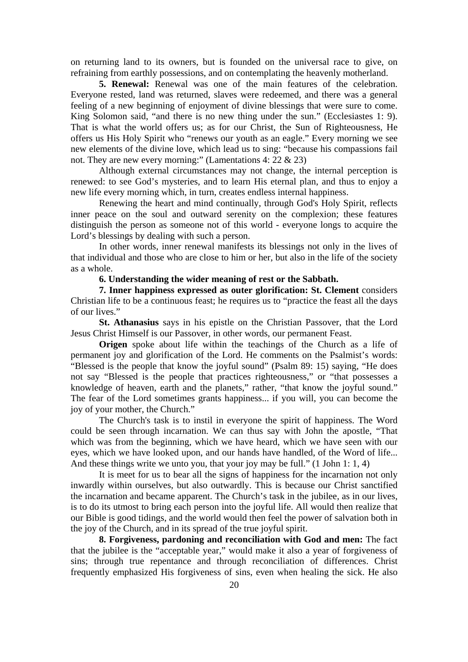on returning land to its owners, but is founded on the universal race to give, on refraining from earthly possessions, and on contemplating the heavenly motherland.

**5. Renewal:** Renewal was one of the main features of the celebration. Everyone rested, land was returned, slaves were redeemed, and there was a general feeling of a new beginning of enjoyment of divine blessings that were sure to come. King Solomon said, "and there is no new thing under the sun." (Ecclesiastes 1: 9). That is what the world offers us; as for our Christ, the Sun of Righteousness, He offers us His Holy Spirit who "renews our youth as an eagle." Every morning we see new elements of the divine love, which lead us to sing: "because his compassions fail not. They are new every morning:" (Lamentations 4: 22 & 23)

Although external circumstances may not change, the internal perception is renewed: to see God's mysteries, and to learn His eternal plan, and thus to enjoy a new life every morning which, in turn, creates endless internal happiness.

Renewing the heart and mind continually, through God's Holy Spirit, reflects inner peace on the soul and outward serenity on the complexion; these features distinguish the person as someone not of this world - everyone longs to acquire the Lord's blessings by dealing with such a person.

In other words, inner renewal manifests its blessings not only in the lives of that individual and those who are close to him or her, but also in the life of the society as a whole.

**6. Understanding the wider meaning of rest or the Sabbath .**

**7. Inner happiness expressed as outer glorification: St. Clement** considers Christian life to be a continuous feast; he requires us to "practice the feast all the days of our lives."

**St. Athanasius** says in his epistle on the Christian Passover, that the Lord Jesus Christ Himself is our Passover, in other words, our permanent Feast.

**Origen** spoke about life within the teachings of the Church as a life of permanent joy and glorification of the Lord. He comments on the Psalmist's words: "Blessed is the people that know the joyful sound" (Psalm 89: 15) saying, "He does not say "Blessed is the people that practices righteousness," or "that possesses a knowledge of heaven, earth and the planets," rather, "that know the joyful sound." The fear of the Lord sometimes grants happiness... if you will, you can become the joy of your mother, the Church."

The Church's task is to instil in everyone the spirit of happiness. The Word could be seen through incarnation. We can thus say with John the apostle, "That which was from the beginning, which we have heard, which we have seen with our eyes, which we have looked upon, and our hands have handled, of the Word of life... And these things write we unto you, that your joy may be full." (1 John 1: 1, 4)

It is meet for us to bear all the signs of happiness for the incarnation not only inwardly within ourselves, but also outwardly. This is because our Christ sanctified the incarnation and became apparent. The Church's task in the jubilee, as in our lives, is to do its utmost to bring each person into the joyful life. All would then realize that our Bible is good tidings, and the world would then feel the power of salvation both in the joy of the Church, and in its spread of the true joyful spirit.

**8. Forgiveness, pardoning and reconciliation with God and men:** The fact that the jubilee is the "acceptable year," would make it also a year of forgiveness of sins; through true repentance and through reconciliation of differences. Christ frequently emphasized His forgiveness of sins, even when healing the sick. He also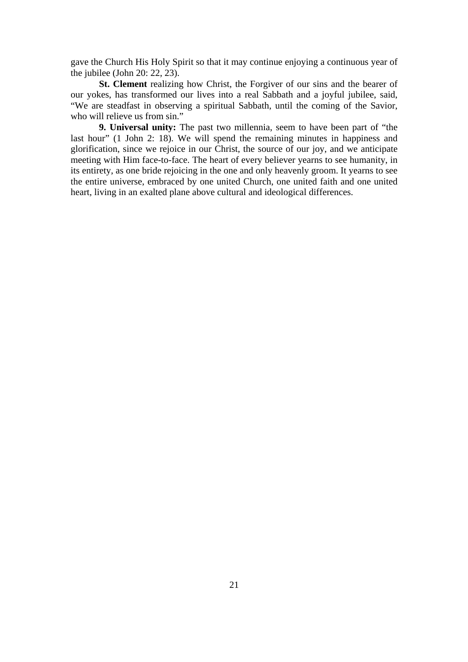gave the Church His Holy Spirit so that it may continue enjoying a continuous year of the jubilee (John 20: 22, 23).

**St. Clement** realizing how Christ, the Forgiver of our sins and the bearer of our yokes, has transformed our lives into a real Sabbath and a joyful jubilee, said, "We are steadfast in observing a spiritual Sabbath, until the coming of the Savior, who will relieve us from sin."

**9. Universal unity:** The past two millennia, seem to have been part of "the last hour" (1 John 2: 18). We will spend the remaining minutes in happiness and glorification, since we rejoice in our Christ, the source of our joy, and we anticipate meeting with Him face-to-face. The heart of every believer yearns to see humanity, in its entirety, as one bride rejoicing in the one and only heavenly groom. It yearns to see the entire universe, embraced by one united Church, one united faith and one united heart, living in an exalted plane above cultural and ideological differences.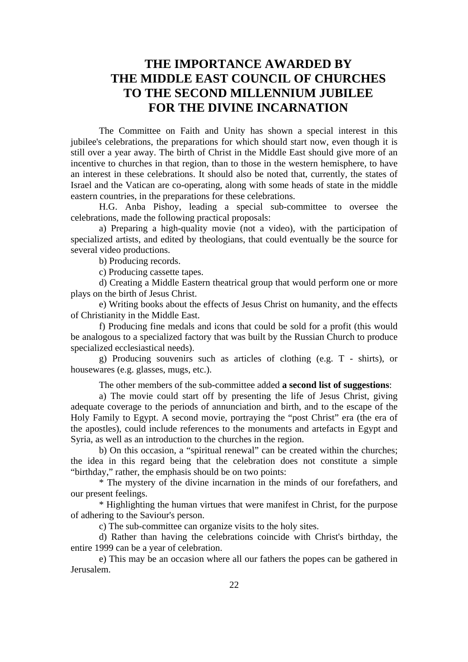## **THE IMPORTANCE AWARDED BY THE MIDDLE EAST COUNCIL OF CHURCHES TO THE SECOND MILLENNIUM JUBILEE FOR THE DIVINE INCARNATION**

The Committee on Faith and Unity has shown a special interest in this jubilee's celebrations, the preparations for which should start now, even though it is still over a year away. The birth of Christ in the Middle East should give more of an incentive to churches in that region, than to those in the western hemisphere, to have an interest in these celebrations. It should also be noted that, currently, the states of Israel and the Vatican are co-operating, along with some heads of state in the middle eastern countries, in the preparations for these celebrations.

H.G. Anba Pishoy, leading a special sub-committee to oversee the celebrations, made the following practical proposals:

a) Preparing a high-quality movie (not a video), with the participation of specialized artists, and edited by theologians, that could eventually be the source for several video productions.

b) Producing records.

c) Producing cassette tapes.

d) Creating a Middle Eastern theatrical group that would perform one or more plays on the birth of Jesus Christ.

e) Writing books about the effects of Jesus Christ on humanity, and the effects of Christianity in the Middle East.

f) Producing fine medals and icons that could be sold for a profit (this would be analogous to a specialized factory that was built by the Russian Church to produce specialized ecclesiastical needs).

g) Producing souvenirs such as articles of clothing (e.g. T - shirts), or housewares (e.g. glasses, mugs, etc.).

The other members of the sub-committee added **a second list of suggestions**:

a) The movie could start off by presenting the life of Jesus Christ, giving adequate coverage to the periods of annunciation and birth, and to the escape of the Holy Family to Egypt. A second movie, portraying the "post Christ" era (the era of the apostles), could include references to the monuments and artefacts in Egypt and Syria, as well as an introduction to the churches in the region.

b) On this occasion, a "spiritual renewal" can be created within the churches; the idea in this regard being that the celebration does not constitute a simple "birthday," rather, the emphasis should be on two points:

\* The mystery of the divine incarnation in the minds of our forefathers, and our present feelings.

\* Highlighting the human virtues that were manifest in Christ, for the purpose of adhering to the Saviour's person.

c) The sub-committee can organize visits to the holy sites.

d) Rather than having the celebrations coincide with Christ's birthday, the entire 1999 can be a year of celebration.

e) This may be an occasion where all our fathers the popes can be gathered in Jerusalem.